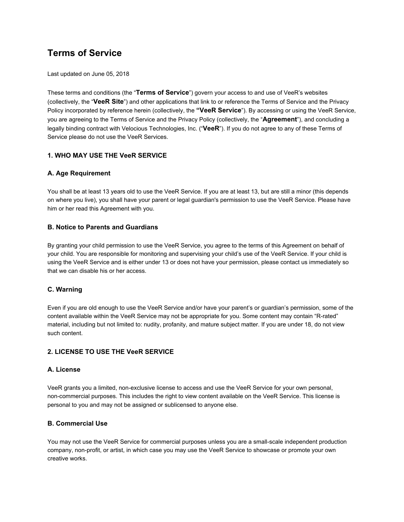# **Terms of Service**

Last updated on June 05, 2018

These terms and conditions (the "**Terms of Service**") govern your access to and use of VeeR's websites (collectively, the "**VeeR Site**") and other applications that link to or reference the Terms of Service and the Privacy Policy incorporated by reference herein (collectively, the **"VeeR Service**"). By accessing or using the VeeR Service, you are agreeing to the Terms of Service and the Privacy Policy (collectively, the "**Agreement**"), and concluding a legally binding contract with Velocious Technologies, Inc. ("**VeeR**"). If you do not agree to any of these Terms of Service please do not use the VeeR Services.

## **1. WHO MAY USE THE VeeR SERVICE**

## **A. Age Requirement**

You shall be at least 13 years old to use the VeeR Service. If you are at least 13, but are still a minor (this depends on where you live), you shall have your parent or legal guardian's permission to use the VeeR Service. Please have him or her read this Agreement with you.

## **B. Notice to Parents and Guardians**

By granting your child permission to use the VeeR Service, you agree to the terms of this Agreement on behalf of your child. You are responsible for monitoring and supervising your child's use of the VeeR Service. If your child is using the VeeR Service and is either under 13 or does not have your permission, please contact us immediately so that we can disable his or her access.

#### **C. Warning**

Even if you are old enough to use the VeeR Service and/or have your parent's or guardian's permission, some of the content available within the VeeR Service may not be appropriate for you. Some content may contain "R-rated" material, including but not limited to: nudity, profanity, and mature subject matter. If you are under 18, do not view such content.

# **2. LICENSE TO USE THE VeeR SERVICE**

#### **A. License**

VeeR grants you a limited, non-exclusive license to access and use the VeeR Service for your own personal, non-commercial purposes. This includes the right to view content available on the VeeR Service. This license is personal to you and may not be assigned or sublicensed to anyone else.

#### **B. Commercial Use**

You may not use the VeeR Service for commercial purposes unless you are a small-scale independent production company, non-profit, or artist, in which case you may use the VeeR Service to showcase or promote your own creative works.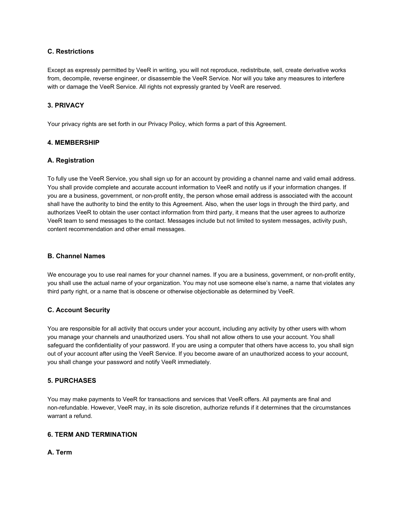#### **C. Restrictions**

Except as expressly permitted by VeeR in writing, you will not reproduce, redistribute, sell, create derivative works from, decompile, reverse engineer, or disassemble the VeeR Service. Nor will you take any measures to interfere with or damage the VeeR Service. All rights not expressly granted by VeeR are reserved.

# **3. PRIVACY**

Your privacy rights are set forth in our Privacy Policy, which forms a part of this Agreement.

## **4. MEMBERSHIP**

## **A. Registration**

To fully use the VeeR Service, you shall sign up for an account by providing a channel name and valid email address. You shall provide complete and accurate account information to VeeR and notify us if your information changes. If you are a business, government, or non-profit entity, the person whose email address is associated with the account shall have the authority to bind the entity to this Agreement. Also, when the user logs in through the third party, and authorizes VeeR to obtain the user contact information from third party, it means that the user agrees to authorize VeeR team to send messages to the contact. Messages include but not limited to system messages, activity push, content recommendation and other email messages.

## **B. Channel Names**

We encourage you to use real names for your channel names. If you are a business, government, or non-profit entity, you shall use the actual name of your organization. You may not use someone else's name, a name that violates any third party right, or a name that is obscene or otherwise objectionable as determined by VeeR.

# **C. Account Security**

You are responsible for all activity that occurs under your account, including any activity by other users with whom you manage your channels and unauthorized users. You shall not allow others to use your account. You shall safeguard the confidentiality of your password. If you are using a computer that others have access to, you shall sign out of your account after using the VeeR Service. If you become aware of an unauthorized access to your account, you shall change your password and notify VeeR immediately.

#### **5. PURCHASES**

You may make payments to VeeR for transactions and services that VeeR offers. All payments are final and non-refundable. However, VeeR may, in its sole discretion, authorize refunds if it determines that the circumstances warrant a refund.

# **6. TERM AND TERMINATION**

**A. Term**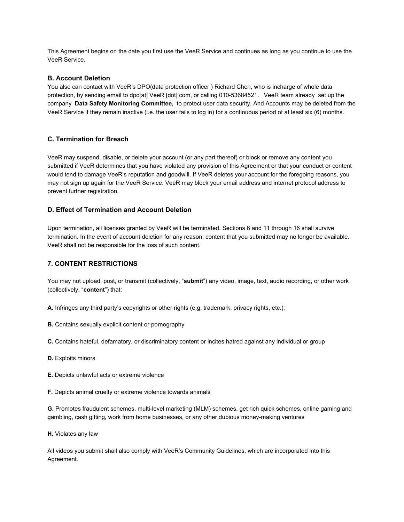This Agreement begins on the date you first use the VeeR Service and continues as long as you continue to use the VeeR Service.

#### **B. Account Deletion**

You also can contact with VeeR's DPO(data protection officer ) Richard Chen, who is incharge of whole data protection, by sending email to dpo[at] VeeR [dot] com, or calling 010-53684521. VeeR team already set up the company **Data Safety Monitoring Committee,**  to protect user data security. And Accounts may be deleted from the VeeR Service if they remain inactive (i.e. the user fails to log in) for a continuous period of at least six (6) months.

# **C. Termination for Breach**

VeeR may suspend, disable, or delete your account (or any part thereof) or block or remove any content you submitted if VeeR determines that you have violated any provision of this Agreement or that your conduct or content would tend to damage VeeR's reputation and goodwill. If VeeR deletes your account for the foregoing reasons, you may not sign up again for the VeeR Service. VeeR may block your email address and internet protocol address to prevent further registration.

## **D. Effect of Termination and Account Deletion**

Upon termination, all licenses granted by VeeR will be terminated. Sections 6 and 11 through 16 shall survive termination. In the event of account deletion for any reason, content that you submitted may no longer be available. VeeR shall not be responsible for the loss of such content.

## **7. CONTENT RESTRICTIONS**

You may not upload, post, or transmit (collectively, "**submit**") any video, image, text, audio recording, or other work (collectively, "**content**") that:

**A.** Infringes any third party's copyrights or other rights (e.g. trademark, privacy rights, etc.);

**B.** Contains sexually explicit content or pornography

**C.** Contains hateful, defamatory, or discriminatory content or incites hatred against any individual or group

- **D.** Exploits minors
- **E.** Depicts unlawful acts or extreme violence
- **F.** Depicts animal cruelty or extreme violence towards animals

**G.** Promotes fraudulent schemes, multi-level marketing (MLM) schemes, get rich quick schemes, online gaming and gambling, cash gifting, work from home businesses, or any other dubious money-making ventures

**H.** Violates any law

All videos you submit shall also comply with VeeR's Community Guidelines, which are incorporated into this Agreement.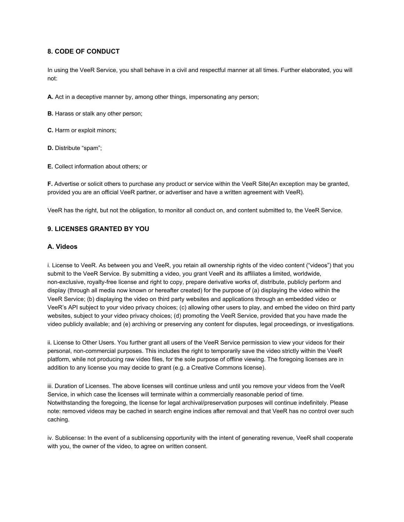## **8. CODE OF CONDUCT**

In using the VeeR Service, you shall behave in a civil and respectful manner at all times. Further elaborated, you will not:

**A.** Act in a deceptive manner by, among other things, impersonating any person;

**B.** Harass or stalk any other person;

**C.** Harm or exploit minors;

**D.** Distribute "spam";

**E.** Collect information about others; or

**F.** Advertise or solicit others to purchase any product or service within the VeeR Site(An exception may be granted, provided you are an official VeeR partner, or advertiser and have a written agreement with VeeR).

VeeR has the right, but not the obligation, to monitor all conduct on, and content submitted to, the VeeR Service.

## **9. LICENSES GRANTED BY YOU**

## **A. Videos**

i. License to VeeR. As between you and VeeR, you retain all ownership rights of the video content ("videos") that you submit to the VeeR Service. By submitting a video, you grant VeeR and its affiliates a limited, worldwide, non-exclusive, royalty-free license and right to copy, prepare derivative works of, distribute, publicly perform and display (through all media now known or hereafter created) for the purpose of (a) displaying the video within the VeeR Service; (b) displaying the video on third party websites and applications through an embedded video or VeeR's API subject to your video privacy choices; (c) allowing other users to play, and embed the video on third party websites, subject to your video privacy choices; (d) promoting the VeeR Service, provided that you have made the video publicly available; and (e) archiving or preserving any content for disputes, legal proceedings, or investigations.

ii. License to Other Users. You further grant all users of the VeeR Service permission to view your videos for their personal, non-commercial purposes. This includes the right to temporarily save the video strictly within the VeeR platform, while not producing raw video files, for the sole purpose of offline viewing. The foregoing licenses are in addition to any license you may decide to grant (e.g. a Creative Commons license).

iii. Duration of Licenses. The above licenses will continue unless and until you remove your videos from the VeeR Service, in which case the licenses will terminate within a commercially reasonable period of time. Notwithstanding the foregoing, the license for legal archival/preservation purposes will continue indefinitely. Please note: removed videos may be cached in search engine indices after removal and that VeeR has no control over such caching.

iv. Sublicense: In the event of a sublicensing opportunity with the intent of generating revenue, VeeR shall cooperate with you, the owner of the video, to agree on written consent.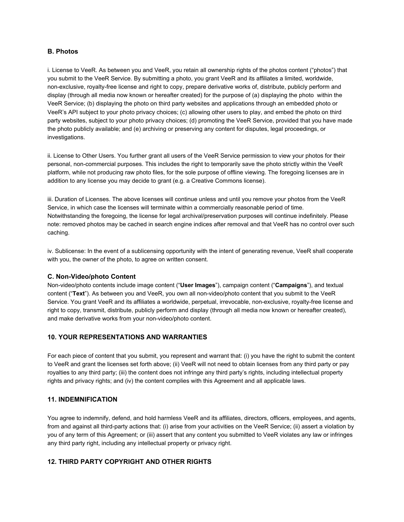#### **B. Photos**

i. License to VeeR. As between you and VeeR, you retain all ownership rights of the photos content ("photos") that you submit to the VeeR Service. By submitting a photo, you grant VeeR and its affiliates a limited, worldwide, non-exclusive, royalty-free license and right to copy, prepare derivative works of, distribute, publicly perform and display (through all media now known or hereafter created) for the purpose of (a) displaying the photo within the VeeR Service; (b) displaying the photo on third party websites and applications through an embedded photo or VeeR's API subject to your photo privacy choices; (c) allowing other users to play, and embed the photo on third party websites, subject to your photo privacy choices; (d) promoting the VeeR Service, provided that you have made the photo publicly available; and (e) archiving or preserving any content for disputes, legal proceedings, or investigations.

ii. License to Other Users. You further grant all users of the VeeR Service permission to view your photos for their personal, non-commercial purposes. This includes the right to temporarily save the photo strictly within the VeeR platform, while not producing raw photo files, for the sole purpose of offline viewing. The foregoing licenses are in addition to any license you may decide to grant (e.g. a Creative Commons license).

iii. Duration of Licenses. The above licenses will continue unless and until you remove your photos from the VeeR Service, in which case the licenses will terminate within a commercially reasonable period of time. Notwithstanding the foregoing, the license for legal archival/preservation purposes will continue indefinitely. Please note: removed photos may be cached in search engine indices after removal and that VeeR has no control over such caching.

iv. Sublicense: In the event of a sublicensing opportunity with the intent of generating revenue, VeeR shall cooperate with you, the owner of the photo, to agree on written consent.

#### **C. Non-Video/photo Content**

Non-video/photo contents include image content ("**User Images**"), campaign content ("**Campaigns**"), and textual content ("**Text**"). As between you and VeeR, you own all non-video/photo content that you submit to the VeeR Service. You grant VeeR and its affiliates a worldwide, perpetual, irrevocable, non-exclusive, royalty-free license and right to copy, transmit, distribute, publicly perform and display (through all media now known or hereafter created), and make derivative works from your non-video/photo content.

# **10. YOUR REPRESENTATIONS AND WARRANTIES**

For each piece of content that you submit, you represent and warrant that: (i) you have the right to submit the content to VeeR and grant the licenses set forth above; (ii) VeeR will not need to obtain licenses from any third party or pay royalties to any third party; (iii) the content does not infringe any third party's rights, including intellectual property rights and privacy rights; and (iv) the content complies with this Agreement and all applicable laws.

#### **11. INDEMNIFICATION**

You agree to indemnify, defend, and hold harmless VeeR and its affiliates, directors, officers, employees, and agents, from and against all third-party actions that: (i) arise from your activities on the VeeR Service; (ii) assert a violation by you of any term of this Agreement; or (iii) assert that any content you submitted to VeeR violates any law or infringes any third party right, including any intellectual property or privacy right.

## **12. THIRD PARTY COPYRIGHT AND OTHER RIGHTS**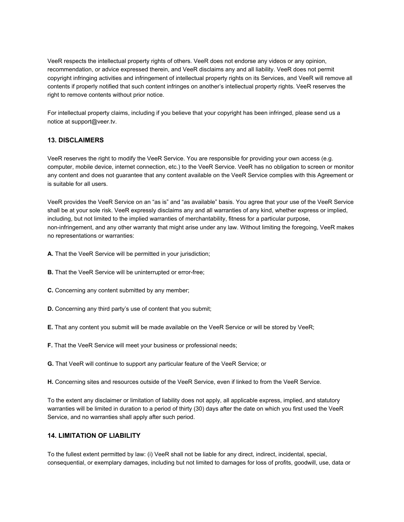VeeR respects the intellectual property rights of others. VeeR does not endorse any videos or any opinion, recommendation, or advice expressed therein, and VeeR disclaims any and all liability. VeeR does not permit copyright infringing activities and infringement of intellectual property rights on its Services, and VeeR will remove all contents if properly notified that such content infringes on another's intellectual property rights. VeeR reserves the right to remove contents without prior notice.

For intellectual property claims, including if you believe that your copyright has been infringed, please send us a notice at support@veer.tv.

#### **13. DISCLAIMERS**

VeeR reserves the right to modify the VeeR Service. You are responsible for providing your own access (e.g. computer, mobile device, internet connection, etc.) to the VeeR Service. VeeR has no obligation to screen or monitor any content and does not guarantee that any content available on the VeeR Service complies with this Agreement or is suitable for all users.

VeeR provides the VeeR Service on an "as is" and "as available" basis. You agree that your use of the VeeR Service shall be at your sole risk. VeeR expressly disclaims any and all warranties of any kind, whether express or implied, including, but not limited to the implied warranties of merchantability, fitness for a particular purpose, non-infringement, and any other warranty that might arise under any law. Without limiting the foregoing, VeeR makes no representations or warranties:

**A.** That the VeeR Service will be permitted in your jurisdiction;

- **B.** That the VeeR Service will be uninterrupted or error-free;
- **C.** Concerning any content submitted by any member;
- **D.** Concerning any third party's use of content that you submit;
- **E.** That any content you submit will be made available on the VeeR Service or will be stored by VeeR;
- **F.** That the VeeR Service will meet your business or professional needs;
- **G.** That VeeR will continue to support any particular feature of the VeeR Service; or
- **H.** Concerning sites and resources outside of the VeeR Service, even if linked to from the VeeR Service.

To the extent any disclaimer or limitation of liability does not apply, all applicable express, implied, and statutory warranties will be limited in duration to a period of thirty (30) days after the date on which you first used the VeeR Service, and no warranties shall apply after such period.

# **14. LIMITATION OF LIABILITY**

To the fullest extent permitted by law: (i) VeeR shall not be liable for any direct, indirect, incidental, special, consequential, or exemplary damages, including but not limited to damages for loss of profits, goodwill, use, data or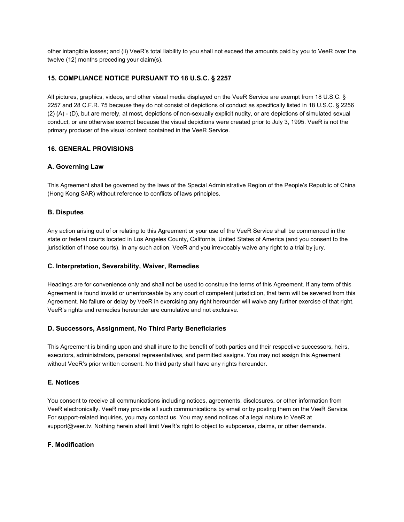other intangible losses; and (ii) VeeR's total liability to you shall not exceed the amounts paid by you to VeeR over the twelve (12) months preceding your claim(s).

# **15. COMPLIANCE NOTICE PURSUANT TO 18 U.S.C. § 2257**

All pictures, graphics, videos, and other visual media displayed on the VeeR Service are exempt from 18 U.S.C. § 2257 and 28 C.F.R. 75 because they do not consist of depictions of conduct as specifically listed in 18 U.S.C. § 2256 (2) (A) - (D), but are merely, at most, depictions of non-sexually explicit nudity, or are depictions of simulated sexual conduct, or are otherwise exempt because the visual depictions were created prior to July 3, 1995. VeeR is not the primary producer of the visual content contained in the VeeR Service.

# **16. GENERAL PROVISIONS**

# **A. Governing Law**

This Agreement shall be governed by the laws of the Special Administrative Region of the People's Republic of China (Hong Kong SAR) without reference to conflicts of laws principles.

## **B. Disputes**

Any action arising out of or relating to this Agreement or your use of the VeeR Service shall be commenced in the state or federal courts located in Los Angeles County, California, United States of America (and you consent to the jurisdiction of those courts). In any such action, VeeR and you irrevocably waive any right to a trial by jury.

#### **C. Interpretation, Severability, Waiver, Remedies**

Headings are for convenience only and shall not be used to construe the terms of this Agreement. If any term of this Agreement is found invalid or unenforceable by any court of competent jurisdiction, that term will be severed from this Agreement. No failure or delay by VeeR in exercising any right hereunder will waive any further exercise of that right. VeeR's rights and remedies hereunder are cumulative and not exclusive.

# **D. Successors, Assignment, No Third Party Beneficiaries**

This Agreement is binding upon and shall inure to the benefit of both parties and their respective successors, heirs, executors, administrators, personal representatives, and permitted assigns. You may not assign this Agreement without VeeR's prior written consent. No third party shall have any rights hereunder.

#### **E. Notices**

You consent to receive all communications including notices, agreements, disclosures, or other information from VeeR electronically. VeeR may provide all such communications by email or by posting them on the VeeR Service. For support-related inquiries, you may contact us. You may send notices of a legal nature to VeeR at support@veer.tv. Nothing herein shall limit VeeR's right to object to subpoenas, claims, or other demands.

#### **F. Modification**